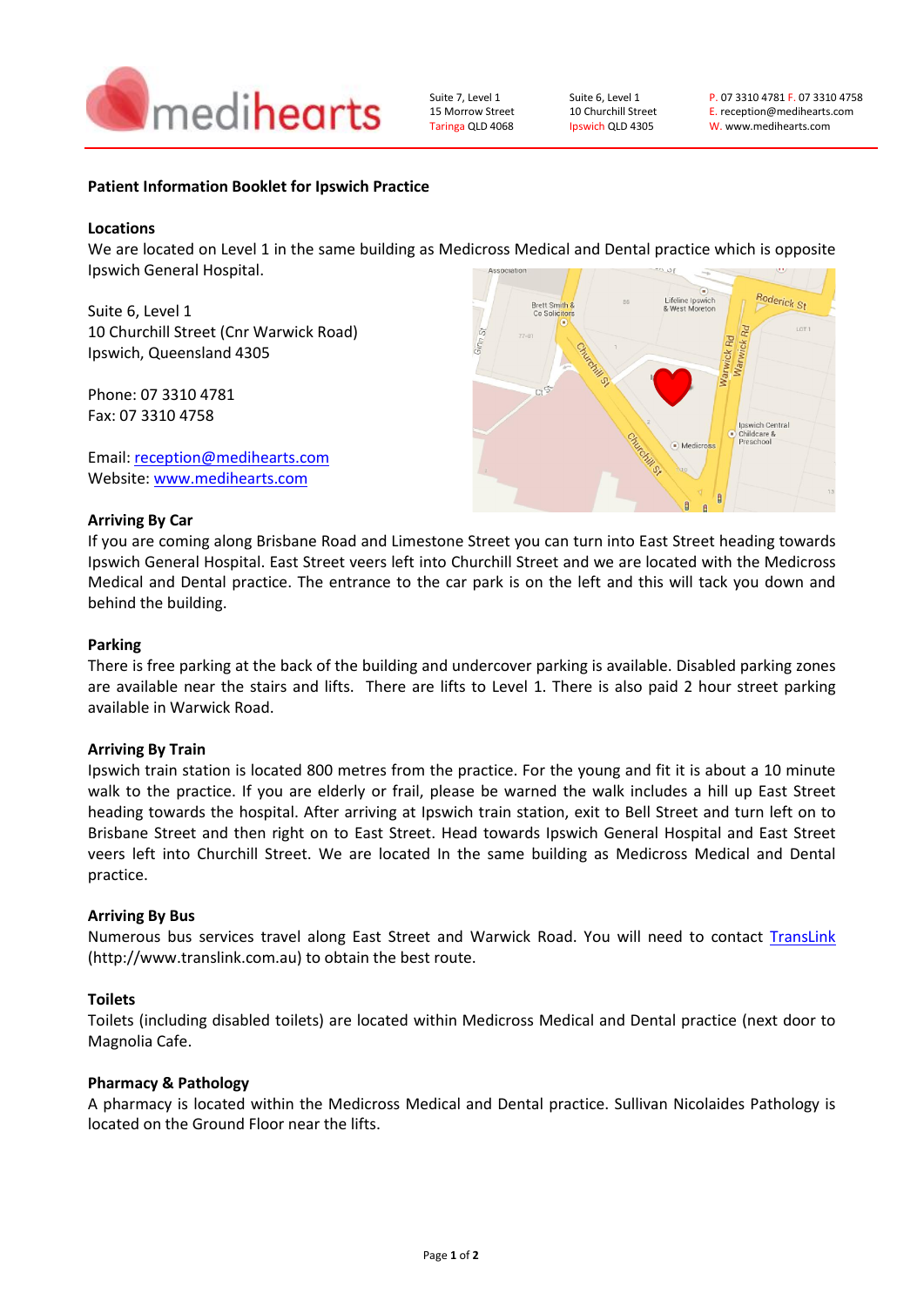

Suite 7, Level 1 15 Morrow Street Taringa QLD 4068 Suite 6, Level 1 10 Churchill Street Ipswich QLD 4305

## Patient Information Booklet for Ipswich Practice

## Locations

We are located on Level 1 in the same building as Medicross Medical and Dental practice which is opposite Ipswich General Hospital.

Suite 6, Level 1 10 Churchill Street (Cnr Warwick Road) Ipswich, Queensland 4305

Phone: 07 3310 4781 Fax: 07 3310 4758

Email: [reception@medihearts.com](mailto:reception@medihearts.com) Website: [www.medihearts.com](http://www.medihearts.com/)

#### Arriving By Car

If you are coming along Brisbane Road and Limestone Street you can turn into East Street heading towards Ipswich General Hospital. East Street veers left into Churchill Street and we are located with the Medicross Medical and Dental practice. The entrance to the car park is on the left and this will tack you down and behind the building.

#### Parking

There is free parking at the back of the building and undercover parking is available. Disabled parking zones are available near the stairs and lifts. There are lifts to Level 1. There is also paid 2 hour street parking available in Warwick Road.

#### Arriving By Train

Ipswich train station is located 800 metres from the practice. For the young and fit it is about a 10 minute walk to the practice. If you are elderly or frail, please be warned the walk includes a hill up East Street heading towards the hospital. After arriving at Ipswich train station, exit to Bell Street and turn left on to Brisbane Street and then right on to East Street. Head towards Ipswich General Hospital and East Street veers left into Churchill Street. We are located In the same building as Medicross Medical and Dental practice.

#### Arriving By Bus

Numerous bus services travel along East Street and Warwick Road. You will need to contact [TransLink](http://www.translink.com.au/) (http://www.translink.com.au) to obtain the best route.

#### Toilets

Toilets (including disabled toilets) are located within Medicross Medical and Dental practice (next door to Magnolia Cafe.

#### Pharmacy & Pathology

A pharmacy is located within the Medicross Medical and Dental practice. Sullivan Nicolaides Pathology is located on the Ground Floor near the lifts.